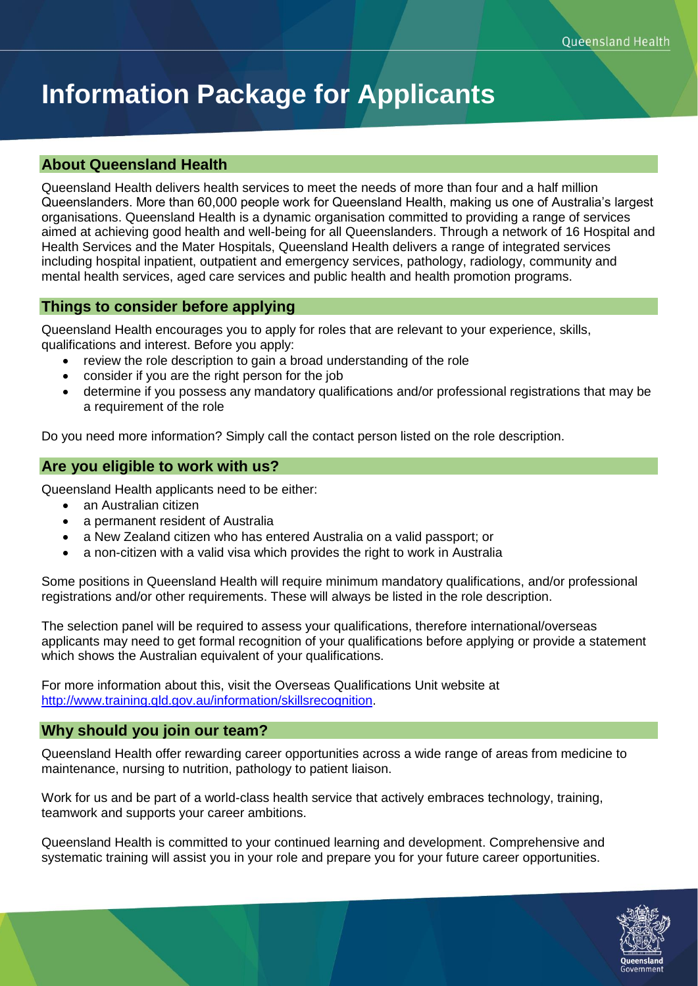# **Information Package for Applicants**

# **About Queensland Health**

Queensland Health delivers health services to meet the needs of more than four and a half million Queenslanders. More than 60,000 people work for Queensland Health, making us one of Australia's largest organisations. Queensland Health is a dynamic organisation committed to providing a range of services aimed at achieving good health and well-being for all Queenslanders. Through a network of 16 Hospital and Health Services and the Mater Hospitals, Queensland Health delivers a range of integrated services including hospital inpatient, outpatient and emergency services, pathology, radiology, community and mental health services, aged care services and public health and health promotion programs.

# **Things to consider before applying**

Queensland Health encourages you to apply for roles that are relevant to your experience, skills, qualifications and interest. Before you apply:

- review the role description to gain a broad understanding of the role
- consider if you are the right person for the job
- determine if you possess any mandatory qualifications and/or professional registrations that may be a requirement of the role

Do you need more information? Simply call the contact person listed on the role description.

# **Are you eligible to work with us?**

Queensland Health applicants need to be either:

- an Australian citizen
- a permanent resident of Australia
- a New Zealand citizen who has entered Australia on a valid passport; or
- a non-citizen with a valid visa which provides the right to work in Australia

Some positions in Queensland Health will require minimum mandatory qualifications, and/or professional registrations and/or other requirements. These will always be listed in the role description.

The selection panel will be required to assess your qualifications, therefore international/overseas applicants may need to get formal recognition of your qualifications before applying or provide a statement which shows the Australian equivalent of your qualifications.

For more information about this, visit the Overseas Qualifications Unit website at [http://www.training.qld.gov.au/information/skillsrecognition.](http://www.training.qld.gov.au/information/skillsrecognition)

# **Why should you join our team?**

Queensland Health offer rewarding career opportunities across a wide range of areas from medicine to maintenance, nursing to nutrition, pathology to patient liaison.

Work for us and be part of a world-class health service that actively embraces technology, training, teamwork and supports your career ambitions.

Queensland Health is committed to your continued learning and development. Comprehensive and systematic training will assist you in your role and prepare you for your future career opportunities.

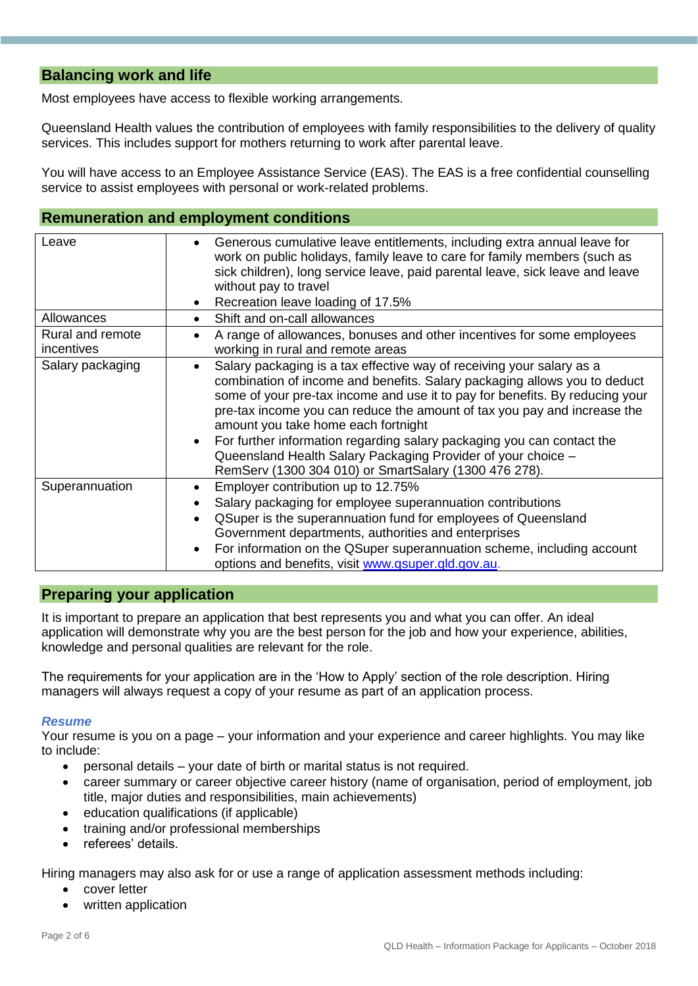# **Balancing work and life**

Most employees have access to flexible working arrangements.

Queensland Health values the contribution of employees with family responsibilities to the delivery of quality services. This includes support for mothers returning to work after parental leave.

You will have access to an Employee Assistance Service (EAS). The EAS is a free confidential counselling service to assist employees with personal or work-related problems.

## **Remuneration and employment conditions**

| Leave                          | Generous cumulative leave entitlements, including extra annual leave for<br>work on public holidays, family leave to care for family members (such as<br>sick children), long service leave, paid parental leave, sick leave and leave<br>without pay to travel<br>Recreation leave loading of 17.5%                                                                                                                                                                                                                                                     |
|--------------------------------|----------------------------------------------------------------------------------------------------------------------------------------------------------------------------------------------------------------------------------------------------------------------------------------------------------------------------------------------------------------------------------------------------------------------------------------------------------------------------------------------------------------------------------------------------------|
| Allowances                     | Shift and on-call allowances                                                                                                                                                                                                                                                                                                                                                                                                                                                                                                                             |
| Rural and remote<br>incentives | A range of allowances, bonuses and other incentives for some employees<br>working in rural and remote areas                                                                                                                                                                                                                                                                                                                                                                                                                                              |
| Salary packaging               | Salary packaging is a tax effective way of receiving your salary as a<br>combination of income and benefits. Salary packaging allows you to deduct<br>some of your pre-tax income and use it to pay for benefits. By reducing your<br>pre-tax income you can reduce the amount of tax you pay and increase the<br>amount you take home each fortnight<br>For further information regarding salary packaging you can contact the<br>Queensland Health Salary Packaging Provider of your choice -<br>RemServ (1300 304 010) or SmartSalary (1300 476 278). |
| Superannuation                 | Employer contribution up to 12.75%<br>Salary packaging for employee superannuation contributions<br>QSuper is the superannuation fund for employees of Queensland<br>Government departments, authorities and enterprises<br>For information on the QSuper superannuation scheme, including account<br>options and benefits, visit www.qsuper.qld.gov.au.                                                                                                                                                                                                 |

## **Preparing your application**

It is important to prepare an application that best represents you and what you can offer. An ideal application will demonstrate why you are the best person for the job and how your experience, abilities, knowledge and personal qualities are relevant for the role.

The requirements for your application are in the 'How to Apply' section of the role description. Hiring managers will always request a copy of your resume as part of an application process.

## *Resume*

Your resume is you on a page – your information and your experience and career highlights. You may like to include:

- personal details your date of birth or marital status is not required.
- career summary or career objective career history (name of organisation, period of employment, job title, major duties and responsibilities, main achievements)
- education qualifications (if applicable)
- training and/or professional memberships
- referees' details.

Hiring managers may also ask for or use a range of application assessment methods including:

- cover letter
- written application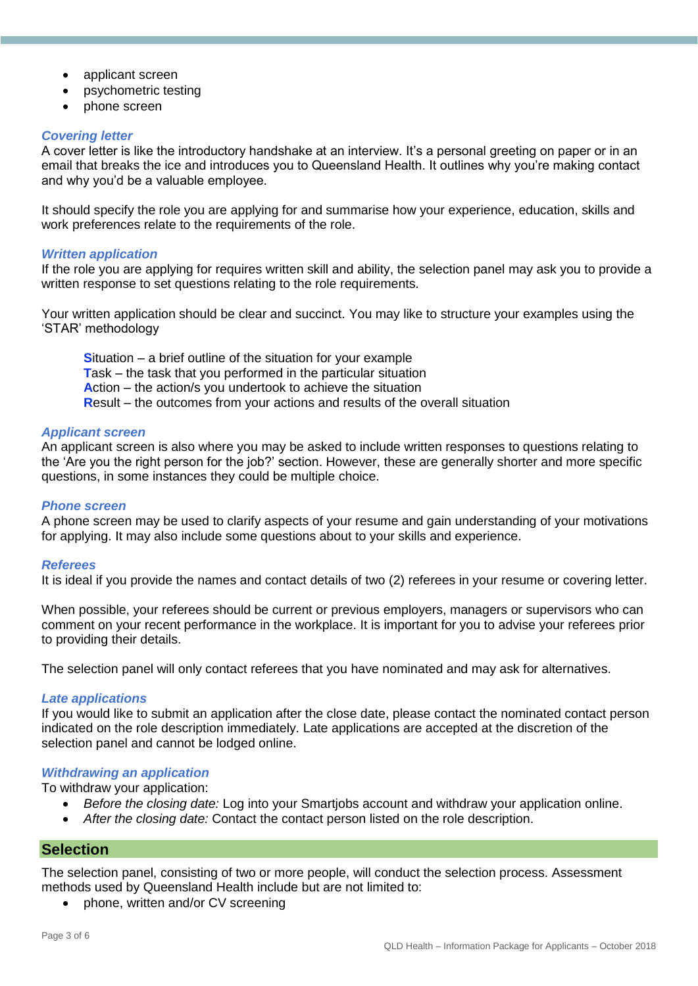- applicant screen
- psychometric testing
- phone screen

## *Covering letter*

A cover letter is like the introductory handshake at an interview. It's a personal greeting on paper or in an email that breaks the ice and introduces you to Queensland Health. It outlines why you're making contact and why you'd be a valuable employee.

It should specify the role you are applying for and summarise how your experience, education, skills and work preferences relate to the requirements of the role.

## *Written application*

If the role you are applying for requires written skill and ability, the selection panel may ask you to provide a written response to set questions relating to the role requirements.

Your written application should be clear and succinct. You may like to structure your examples using the 'STAR' methodology

**S**ituation – a brief outline of the situation for your example **T**ask – the task that you performed in the particular situation **A**ction – the action/s you undertook to achieve the situation **R**esult – the outcomes from your actions and results of the overall situation

## *Applicant screen*

An applicant screen is also where you may be asked to include written responses to questions relating to the 'Are you the right person for the job?' section. However, these are generally shorter and more specific questions, in some instances they could be multiple choice.

## *Phone screen*

A phone screen may be used to clarify aspects of your resume and gain understanding of your motivations for applying. It may also include some questions about to your skills and experience.

## *Referees*

It is ideal if you provide the names and contact details of two (2) referees in your resume or covering letter.

When possible, your referees should be current or previous employers, managers or supervisors who can comment on your recent performance in the workplace. It is important for you to advise your referees prior to providing their details.

The selection panel will only contact referees that you have nominated and may ask for alternatives.

## *Late applications*

If you would like to submit an application after the close date, please contact the nominated contact person indicated on the role description immediately. Late applications are accepted at the discretion of the selection panel and cannot be lodged online.

#### *Withdrawing an application*

To withdraw your application:

- *Before the closing date:* Log into your Smartjobs account and withdraw your application online.
- *After the closing date:* Contact the contact person listed on the role description.

## **Selection**

The selection panel, consisting of two or more people, will conduct the selection process. Assessment methods used by Queensland Health include but are not limited to:

• phone, written and/or CV screening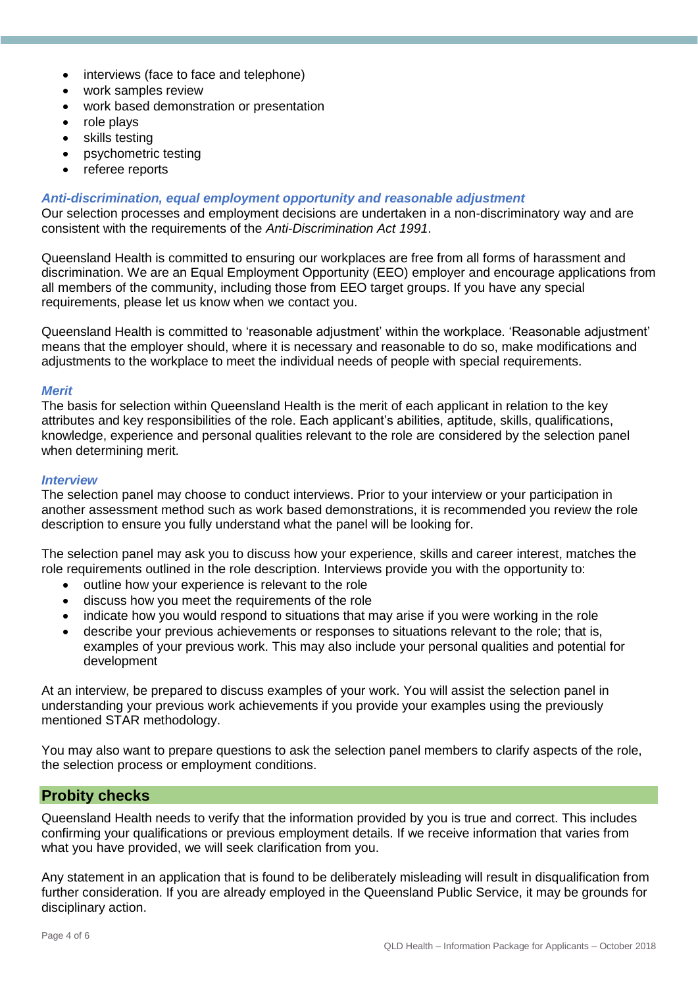- interviews (face to face and telephone)
- work samples review
- work based demonstration or presentation
- role plays
- skills testing
- psychometric testing
- referee reports

## *Anti-discrimination, equal employment opportunity and reasonable adjustment*

Our selection processes and employment decisions are undertaken in a non-discriminatory way and are consistent with the requirements of the *Anti-Discrimination Act 1991*.

Queensland Health is committed to ensuring our workplaces are free from all forms of harassment and discrimination. We are an Equal Employment Opportunity (EEO) employer and encourage applications from all members of the community, including those from EEO target groups. If you have any special requirements, please let us know when we contact you.

Queensland Health is committed to 'reasonable adjustment' within the workplace. 'Reasonable adjustment' means that the employer should, where it is necessary and reasonable to do so, make modifications and adjustments to the workplace to meet the individual needs of people with special requirements.

## *Merit*

The basis for selection within Queensland Health is the merit of each applicant in relation to the key attributes and key responsibilities of the role. Each applicant's abilities, aptitude, skills, qualifications, knowledge, experience and personal qualities relevant to the role are considered by the selection panel when determining merit.

#### *Interview*

The selection panel may choose to conduct interviews. Prior to your interview or your participation in another assessment method such as work based demonstrations, it is recommended you review the role description to ensure you fully understand what the panel will be looking for.

The selection panel may ask you to discuss how your experience, skills and career interest, matches the role requirements outlined in the role description. Interviews provide you with the opportunity to:

- outline how your experience is relevant to the role
- discuss how you meet the requirements of the role
- indicate how you would respond to situations that may arise if you were working in the role
- describe your previous achievements or responses to situations relevant to the role; that is, examples of your previous work. This may also include your personal qualities and potential for development

At an interview, be prepared to discuss examples of your work. You will assist the selection panel in understanding your previous work achievements if you provide your examples using the previously mentioned STAR methodology.

You may also want to prepare questions to ask the selection panel members to clarify aspects of the role, the selection process or employment conditions.

## **Probity checks**

Queensland Health needs to verify that the information provided by you is true and correct. This includes confirming your qualifications or previous employment details. If we receive information that varies from what you have provided, we will seek clarification from you.

Any statement in an application that is found to be deliberately misleading will result in disqualification from further consideration. If you are already employed in the Queensland Public Service, it may be grounds for disciplinary action.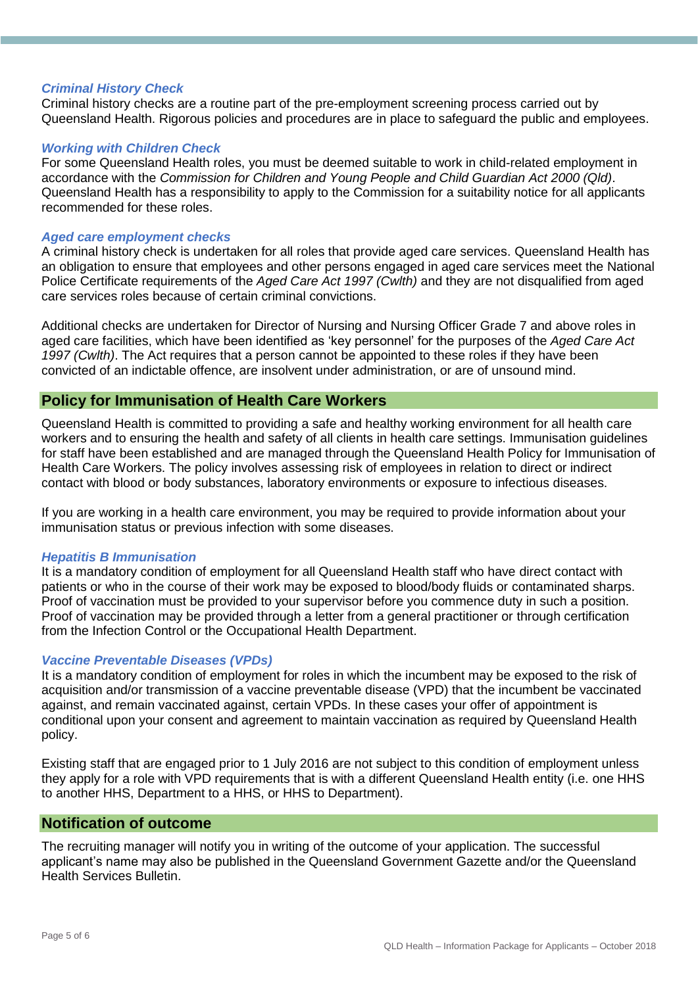## *Criminal History Check*

Criminal history checks are a routine part of the pre-employment screening process carried out by Queensland Health. Rigorous policies and procedures are in place to safeguard the public and employees.

## *Working with Children Check*

For some Queensland Health roles, you must be deemed suitable to work in child-related employment in accordance with the *Commission for Children and Young People and Child Guardian Act 2000 (Qld)*. Queensland Health has a responsibility to apply to the Commission for a suitability notice for all applicants recommended for these roles.

## *Aged care employment checks*

A criminal history check is undertaken for all roles that provide aged care services. Queensland Health has an obligation to ensure that employees and other persons engaged in aged care services meet the National Police Certificate requirements of the *Aged Care Act 1997 (Cwlth)* and they are not disqualified from aged care services roles because of certain criminal convictions.

Additional checks are undertaken for Director of Nursing and Nursing Officer Grade 7 and above roles in aged care facilities, which have been identified as 'key personnel' for the purposes of the *Aged Care Act 1997 (Cwlth)*. The Act requires that a person cannot be appointed to these roles if they have been convicted of an indictable offence, are insolvent under administration, or are of unsound mind.

## **Policy for Immunisation of Health Care Workers**

Queensland Health is committed to providing a safe and healthy working environment for all health care workers and to ensuring the health and safety of all clients in health care settings. Immunisation guidelines for staff have been established and are managed through the Queensland Health Policy for Immunisation of Health Care Workers. The policy involves assessing risk of employees in relation to direct or indirect contact with blood or body substances, laboratory environments or exposure to infectious diseases.

If you are working in a health care environment, you may be required to provide information about your immunisation status or previous infection with some diseases.

## *Hepatitis B Immunisation*

It is a mandatory condition of employment for all Queensland Health staff who have direct contact with patients or who in the course of their work may be exposed to blood/body fluids or contaminated sharps. Proof of vaccination must be provided to your supervisor before you commence duty in such a position. Proof of vaccination may be provided through a letter from a general practitioner or through certification from the Infection Control or the Occupational Health Department.

## *Vaccine Preventable Diseases (VPDs)*

It is a mandatory condition of employment for roles in which the incumbent may be exposed to the risk of acquisition and/or transmission of a vaccine preventable disease (VPD) that the incumbent be vaccinated against, and remain vaccinated against, certain VPDs. In these cases your offer of appointment is conditional upon your consent and agreement to maintain vaccination as required by Queensland Health policy.

Existing staff that are engaged prior to 1 July 2016 are not subject to this condition of employment unless they apply for a role with VPD requirements that is with a different Queensland Health entity (i.e. one HHS to another HHS, Department to a HHS, or HHS to Department).

## **Notification of outcome**

The recruiting manager will notify you in writing of the outcome of your application. The successful applicant's name may also be published in the Queensland Government Gazette and/or the Queensland Health Services Bulletin.